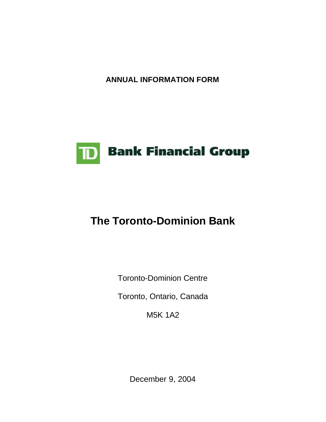**ANNUAL INFORMATION FORM**



# **The Toronto-Dominion Bank**

Toronto-Dominion Centre

Toronto, Ontario, Canada

M5K 1A2

December 9, 2004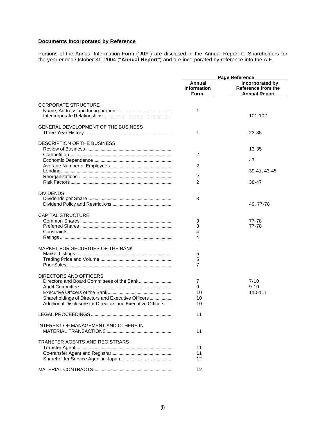# **Documents Incorporated by Reference**

Portions of the Annual Information Form ("**AIF**") are disclosed in the Annual Report to Shareholders for the year ended October 31, 2004 ("**Annual Report**") and are incorporated by reference into the AIF.

|                                                            | <b>Page Reference</b>                       |                                                               |
|------------------------------------------------------------|---------------------------------------------|---------------------------------------------------------------|
|                                                            | Annual<br><b>Information</b><br><b>Form</b> | Incorporated by<br>Reference from the<br><b>Annual Report</b> |
| <b>CORPORATE STRUCTURE</b>                                 |                                             |                                                               |
|                                                            | 1                                           | 101-102                                                       |
|                                                            |                                             |                                                               |
| <b>GENERAL DEVELOPMENT OF THE BUSINESS</b>                 |                                             |                                                               |
|                                                            | 1                                           | 23-35                                                         |
| DESCRIPTION OF THE BUSINESS                                |                                             |                                                               |
|                                                            |                                             | 13-35                                                         |
|                                                            | 2                                           |                                                               |
|                                                            |                                             | 47                                                            |
|                                                            | 2                                           |                                                               |
|                                                            | 2                                           | 39-41, 43-45                                                  |
|                                                            | 2                                           | 38-47                                                         |
|                                                            |                                             |                                                               |
| <b>DIVIDENDS</b>                                           |                                             |                                                               |
|                                                            | 3                                           |                                                               |
|                                                            |                                             | 49, 77-78                                                     |
| <b>CAPITAL STRUCTURE</b>                                   |                                             |                                                               |
|                                                            | 3                                           | 77-78                                                         |
|                                                            | 3                                           | 77-78                                                         |
|                                                            | 4                                           |                                                               |
|                                                            | 4                                           |                                                               |
| MARKET FOR SECURITIES OF THE BANK                          |                                             |                                                               |
|                                                            | 5                                           |                                                               |
|                                                            | 5                                           |                                                               |
|                                                            | 7                                           |                                                               |
|                                                            |                                             |                                                               |
| DIRECTORS AND OFFICERS                                     | 7                                           | $7 - 10$                                                      |
|                                                            | 9                                           | $9 - 10$                                                      |
|                                                            | 10                                          | 110-111                                                       |
| Shareholdings of Directors and Executive Officers          | 10                                          |                                                               |
| Additional Disclosure for Directors and Executive Officers | 10                                          |                                                               |
|                                                            | 11                                          |                                                               |
|                                                            |                                             |                                                               |
| <b>INTEREST OF MANAGEMENT AND OTHERS IN</b>                | 11                                          |                                                               |
|                                                            |                                             |                                                               |
| TRANSFER AGENTS AND REGISTRARS                             |                                             |                                                               |
|                                                            | 11                                          |                                                               |
|                                                            | 11                                          |                                                               |
|                                                            | 12                                          |                                                               |
|                                                            | 12                                          |                                                               |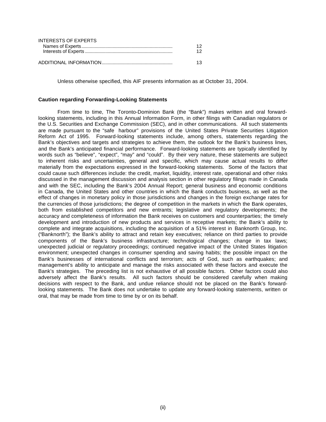| INTERESTS OF EXPERTS |  |
|----------------------|--|
|                      |  |
|                      |  |
|                      |  |
|                      |  |

Unless otherwise specified, this AIF presents information as at October 31, 2004.

#### **Caution regarding Forwarding-Looking Statements**

From time to time, The Toronto-Dominion Bank (the "Bank") makes written and oral forwardlooking statements, including in this Annual Information Form, in other filings with Canadian regulators or the U.S. Securities and Exchange Commission (SEC), and in other communications. All such statements are made pursuant to the "safe harbour" provisions of the United States Private Securities Litigation Reform Act of 1995. Forward-looking statements include, among others, statements regarding the Bank's objectives and targets and strategies to achieve them, the outlook for the Bank's business lines, and the Bank's anticipated financial performance. Forward-looking statements are typically identified by words such as "believe", "expect", "may" and "could". By their very nature, these statements are subject to inherent risks and uncertainties, general and specific, which may cause actual results to differ materially from the expectations expressed in the forward-looking statements. Some of the factors that could cause such differences include: the credit, market, liquidity, interest rate, operational and other risks discussed in the management discussion and analysis section in other regulatory filings made in Canada and with the SEC, including the Bank's 2004 Annual Report; general business and economic conditions in Canada, the United States and other countries in which the Bank conducts business, as well as the effect of changes in monetary policy in those jurisdictions and changes in the foreign exchange rates for the currencies of those jurisdictions; the degree of competition in the markets in which the Bank operates, both from established competitors and new entrants; legislative and regulatory developments; the accuracy and completeness of information the Bank receives on customers and counterparties; the timely development and introduction of new products and services in receptive markets; the Bank's ability to complete and integrate acquisitions, including the acquisition of a 51% interest in Banknorth Group, Inc. ("Banknorth"); the Bank's ability to attract and retain key executives; reliance on third parties to provide components of the Bank's business infrastructure; technological changes; change in tax laws; unexpected judicial or regulatory proceedings; continued negative impact of the United States litigation environment; unexpected changes in consumer spending and saving habits; the possible impact on the Bank's businesses of international conflicts and terrorism; acts of God, such as earthquakes; and management's ability to anticipate and manage the risks associated with these factors and execute the Bank's strategies. The preceding list is not exhaustive of all possible factors. Other factors could also adversely affect the Bank's results. All such factors should be considered carefully when making decisions with respect to the Bank, and undue reliance should not be placed on the Bank's forwardlooking statements. The Bank does not undertake to update any forward-looking statements, written or oral, that may be made from time to time by or on its behalf.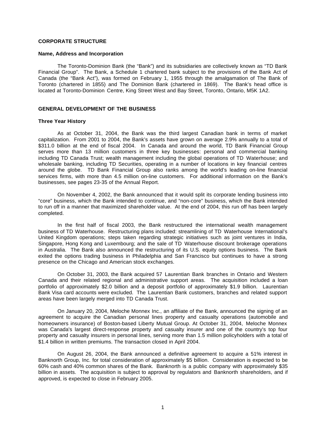## **CORPORATE STRUCTURE**

#### **Name, Address and Incorporation**

The Toronto-Dominion Bank (the "Bank") and its subsidiaries are collectively known as "TD Bank Financial Group". The Bank, a Schedule 1 chartered bank subject to the provisions of the Bank Act of Canada (the "Bank Act"), was formed on February 1, 1955 through the amalgamation of The Bank of Toronto (chartered in 1855) and The Dominion Bank (chartered in 1869). The Bank's head office is located at Toronto-Dominion Centre, King Street West and Bay Street, Toronto, Ontario, M5K 1A2.

## **GENERAL DEVELOPMENT OF THE BUSINESS**

#### **Three Year History**

As at October 31, 2004, the Bank was the third largest Canadian bank in terms of market capitalization. From 2001 to 2004, the Bank's assets have grown on average 2.9% annually to a total of \$311.0 billion at the end of fiscal 2004. In Canada and around the world, TD Bank Financial Group serves more than 13 million customers in three key businesses: personal and commercial banking including TD Canada Trust; wealth management including the global operations of TD Waterhouse; and wholesale banking, including TD Securities, operating in a number of locations in key financial centres around the globe. TD Bank Financial Group also ranks among the world's leading on-line financial services firms, with more than 4.5 million on-line customers. For additional information on the Bank's businesses, see pages 23-35 of the Annual Report.

On November 4, 2002, the Bank announced that it would split its corporate lending business into "core" business, which the Bank intended to continue, and "non-core" business, which the Bank intended to run off in a manner that maximized shareholder value. At the end of 2004, this run off has been largely completed.

In the first half of fiscal 2003, the Bank restructured the international wealth management business of TD Waterhouse. Restructuring plans included: streamlining of TD Waterhouse International's United Kingdom operations; steps taken regarding strategic initiatives such as joint ventures in India, Singapore, Hong Kong and Luxembourg; and the sale of TD Waterhouse discount brokerage operations in Australia. The Bank also announced the restructuring of its U.S. equity options business. The Bank exited the options trading business in Philadelphia and San Francisco but continues to have a strong presence on the Chicago and American stock exchanges.

On October 31, 2003, the Bank acquired 57 Laurentian Bank branches in Ontario and Western Canada and their related regional and administrative support areas. The acquisition included a loan portfolio of approximately \$2.0 billion and a deposit portfolio of approximately \$1.9 billion. Laurentian Bank Visa card accounts were excluded. The Laurentian Bank customers, branches and related support areas have been largely merged into TD Canada Trust.

On January 20, 2004, Meloche Monnex Inc., an affiliate of the Bank, announced the signing of an agreement to acquire the Canadian personal lines property and casualty operations (automobile and homeowners insurance) of Boston-based Liberty Mutual Group. At October 31, 2004, Meloche Monnex was Canada's largest direct-response property and casualty insurer and one of the country's top four property and casualty insurers in personal lines, serving more than 1.5 million policyholders with a total of \$1.4 billion in written premiums. The transaction closed in April 2004.

On August 26, 2004, the Bank announced a definitive agreement to acquire a 51% interest in Banknorth Group, Inc. for total consideration of approximately \$5 billion. Consideration is expected to be 60% cash and 40% common shares of the Bank. Banknorth is a public company with approximately \$35 billion in assets. The acquisition is subject to approval by regulators and Banknorth shareholders, and if approved, is expected to close in February 2005.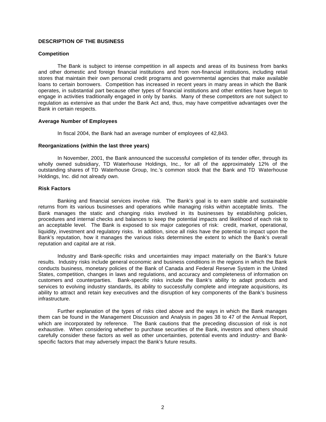## **DESCRIPTION OF THE BUSINESS**

#### **Competition**

The Bank is subject to intense competition in all aspects and areas of its business from banks and other domestic and foreign financial institutions and from non-financial institutions, including retail stores that maintain their own personal credit programs and governmental agencies that make available loans to certain borrowers. Competition has increased in recent years in many areas in which the Bank operates, in substantial part because other types of financial institutions and other entities have begun to engage in activities traditionally engaged in only by banks. Many of these competitors are not subject to regulation as extensive as that under the Bank Act and, thus, may have competitive advantages over the Bank in certain respects.

#### **Average Number of Employees**

In fiscal 2004, the Bank had an average number of employees of 42,843.

#### **Reorganizations (within the last three years)**

In November, 2001, the Bank announced the successful completion of its tender offer, through its wholly owned subsidiary, TD Waterhouse Holdings, Inc., for all of the approximately 12% of the outstanding shares of TD Waterhouse Group, Inc.'s common stock that the Bank and TD Waterhouse Holdings, Inc. did not already own.

#### **Risk Factors**

Banking and financial services involve risk. The Bank's goal is to earn stable and sustainable returns from its various businesses and operations while managing risks within acceptable limits. The Bank manages the static and changing risks involved in its businesses by establishing policies, procedures and internal checks and balances to keep the potential impacts and likelihood of each risk to an acceptable level. The Bank is exposed to six major categories of risk: credit, market, operational, liquidity, investment and regulatory risks. In addition, since all risks have the potential to impact upon the Bank's reputation, how it manages the various risks determines the extent to which the Bank's overall reputation and capital are at risk.

Industry and Bank-specific risks and uncertainties may impact materially on the Bank's future results. Industry risks include general economic and business conditions in the regions in which the Bank conducts business, monetary policies of the Bank of Canada and Federal Reserve System in the United States, competition, changes in laws and regulations, and accuracy and completeness of information on customers and counterparties. Bank-specific risks include the Bank's ability to adapt products and services to evolving industry standards, its ability to successfully complete and integrate acquisitions, its ability to attract and retain key executives and the disruption of key components of the Bank's business infrastructure.

Further explanation of the types of risks cited above and the ways in which the Bank manages them can be found in the Management Discussion and Analysis in pages 38 to 47 of the Annual Report, which are incorporated by reference. The Bank cautions that the preceding discussion of risk is not exhaustive. When considering whether to purchase securities of the Bank, investors and others should carefully consider these factors as well as other uncertainties, potential events and industry- and Bankspecific factors that may adversely impact the Bank's future results.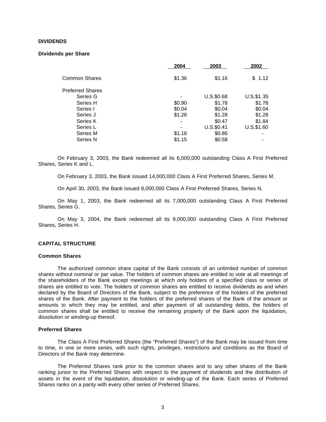#### **DIVIDENDS**

#### **Dividends per Share**

| 2004   | 2003          | 2002          |
|--------|---------------|---------------|
| \$1.36 | \$1.16        | \$1.12        |
|        |               |               |
|        | $U.S.$ \$0.68 | U.S.\$1.35    |
| \$0.90 | \$1.78        | \$1.78        |
| \$0.04 | \$0.04        | \$0.04        |
| \$1.28 | \$1.28        | \$1.28        |
|        | \$0.47        | \$1.84        |
|        | $U.S.$ \$0.41 | $U.S.$ \$1.60 |
| \$1.18 | \$0.86        |               |
| \$1.15 | \$0.58        |               |
|        |               |               |

On February 3, 2003, the Bank redeemed all its 6,000,000 outstanding Class A First Preferred Shares, Series K and L.

On February 3, 2003, the Bank issued 14,000,000 Class A First Preferred Shares, Series M.

On April 30, 2003, the Bank issued 8,000,000 Class A First Preferred Shares, Series N.

On May 1, 2003, the Bank redeemed all its 7,000,000 outstanding Class A First Preferred Shares, Series G.

On May 3, 2004, the Bank redeemed all its 9,000,000 outstanding Class A First Preferred Shares, Series H.

#### **CAPITAL STRUCTURE**

#### **Common Shares**

The authorized common share capital of the Bank consists of an unlimited number of common shares without nominal or par value. The holders of common shares are entitled to vote at all meetings of the shareholders of the Bank except meetings at which only holders of a specified class or series of shares are entitled to vote. The holders of common shares are entitled to receive dividends as and when declared by the Board of Directors of the Bank, subject to the preference of the holders of the preferred shares of the Bank. After payment to the holders of the preferred shares of the Bank of the amount or amounts to which they may be entitled, and after payment of all outstanding debts, the holders of common shares shall be entitled to receive the remaining property of the Bank upon the liquidation, dissolution or winding-up thereof.

#### **Preferred Shares**

The Class A First Preferred Shares (the "Preferred Shares") of the Bank may be issued from time to time, in one or more series, with such rights, privileges, restrictions and conditions as the Board of Directors of the Bank may determine.

The Preferred Shares rank prior to the common shares and to any other shares of the Bank ranking junior to the Preferred Shares with respect to the payment of dividends and the distribution of assets in the event of the liquidation, dissolution or winding-up of the Bank. Each series of Preferred Shares ranks on a parity with every other series of Preferred Shares.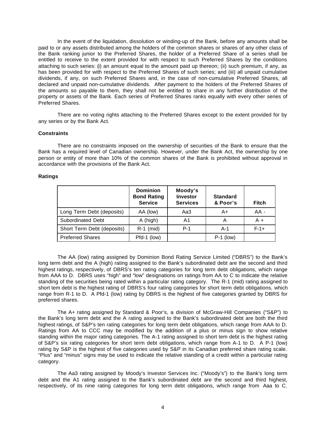In the event of the liquidation, dissolution or winding-up of the Bank, before any amounts shall be paid to or any assets distributed among the holders of the common shares or shares of any other class of the Bank ranking junior to the Preferred Shares, the holder of a Preferred Share of a series shall be entitled to receive to the extent provided for with respect to such Preferred Shares by the conditions attaching to such series: (i) an amount equal to the amount paid up thereon; (ii) such premium, if any, as has been provided for with respect to the Preferred Shares of such series; and (iii) all unpaid cumulative dividends, if any, on such Preferred Shares and, in the case of non-cumulative Preferred Shares, all declared and unpaid non-cumulative dividends. After payment to the holders of the Preferred Shares of the amounts so payable to them, they shall not be entitled to share in any further distribution of the property or assets of the Bank. Each series of Preferred Shares ranks equally with every other series of Preferred Shares.

There are no voting rights attaching to the Preferred Shares except to the extent provided for by any series or by the Bank Act.

#### **Constraints**

There are no constraints imposed on the ownership of securities of the Bank to ensure that the Bank has a required level of Canadian ownership. However, under the Bank Act, the ownership by one person or entity of more than 10% of the common shares of the Bank is prohibited without approval in accordance with the provisions of the Bank Act.

#### **Ratings**

|                            | <b>Dominion</b><br><b>Bond Rating</b><br><b>Service</b> | Moody's<br>Investor<br><b>Services</b> | <b>Standard</b><br>& Poor's | <b>Fitch</b> |
|----------------------------|---------------------------------------------------------|----------------------------------------|-----------------------------|--------------|
| Long Term Debt (deposits)  | AA (low)                                                | Aa3                                    | A+                          | $AA -$       |
| Subordinated Debt          | A (high)                                                | A1                                     |                             | $A +$        |
| Short Term Debt (deposits) | $R-1$ (mid)                                             | $P-1$                                  | $A-1$                       | $F-1+$       |
| <b>Preferred Shares</b>    | Pfd-1 (low)                                             |                                        | $P-1$ (low)                 |              |

The AA (low) rating assigned by Dominion Bond Rating Service Limited ("DBRS") to the Bank's long term debt and the A (high) rating assigned to the Bank's subordinated debt are the second and third highest ratings, respectively, of DBRS's ten rating categories for long term debt obligations, which range from AAA to D. DBRS uses "high" and "low" designations on ratings from AA to C to indicate the relative standing of the securities being rated within a particular rating category. The R-1 (mid) rating assigned to short tem debt is the highest rating of DBRS's four rating categories for short term debt obligations, which range from R-1 to D. A Pfd-1 (low) rating by DBRS is the highest of five categories granted by DBRS for preferred shares.

The A+ rating assigned by Standard & Poor's, a division of McGraw-Hill Companies ("S&P") to the Bank's long term debt and the A rating assigned to the Bank's subordinated debt are both the third highest ratings, of S&P's ten rating categories for long term debt obligations, which range from AAA to D. Ratings from AA to CCC may be modified by the addition of a plus or minus sign to show relative standing within the major rating categories. The A-1 rating assigned to short tem debt is the highest rating of S&P's six rating categories for short term debt obligations, which range from A-1 to D. A P-1 (low) rating by S&P is the highest of five categories used by S&P in its Canadian preferred share rating scale. "Plus" and "minus" signs may be used to indicate the relative standing of a credit within a particular rating category.

The Aa3 rating assigned by Moody's Investor Services Inc. ("Moody's") to the Bank's long term debt and the A1 rating assigned to the Bank's subordinated debt are the second and third highest, respectively, of its nine rating categories for long term debt obligations, which range from Aaa to C.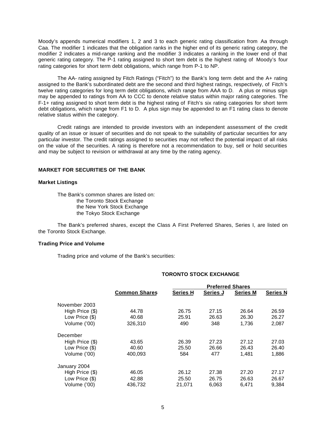Moody's appends numerical modifiers 1, 2 and 3 to each generic rating classification from Aa through Caa. The modifier 1 indicates that the obligation ranks in the higher end of its generic rating category, the modifier 2 indicates a mid-range ranking and the modifier 3 indicates a ranking in the lower end of that generic rating category. The P-1 rating assigned to short tem debt is the highest rating of Moody's four rating categories for short term debt obligations, which range from P-1 to NP.

The AA- rating assigned by Fitch Ratings ("Fitch") to the Bank's long term debt and the A+ rating assigned to the Bank's subordinated debt are the second and third highest ratings, respectively, of Fitch's twelve rating categories for long term debt obligations, which range from AAA to D. A plus or minus sign may be appended to ratings from AA to CCC to denote relative status within major rating categories. The F-1+ rating assigned to short term debt is the highest rating of Fitch's six rating categories for short term debt obligations, which range from F1 to D. A plus sign may be appended to an F1 rating class to denote relative status within the category.

Credit ratings are intended to provide investors with an independent assessment of the credit quality of an issue or issuer of securities and do not speak to the suitability of particular securities for any particular investor. The credit ratings assigned to securities may not reflect the potential impact of all risks on the value of the securities. A rating is therefore not a recommendation to buy, sell or hold securities and may be subject to revision or withdrawal at any time by the rating agency.

## **MARKET FOR SECURITIES OF THE BANK**

#### **Market Listings**

The Bank's common shares are listed on: the Toronto Stock Exchange the New York Stock Exchange the Tokyo Stock Exchange

The Bank's preferred shares, except the Class A First Preferred Shares, Series I, are listed on the Toronto Stock Exchange.

#### **Trading Price and Volume**

Trading price and volume of the Bank's securities:

|                                                     |                      | <b>Preferred Shares</b> |          |                 |                 |
|-----------------------------------------------------|----------------------|-------------------------|----------|-----------------|-----------------|
|                                                     | <b>Common Shares</b> | <b>Series H</b>         | Series J | <b>Series M</b> | <b>Series N</b> |
| November 2003                                       |                      |                         |          |                 |                 |
| High Price (\$)                                     | 44.78                | 26.75                   | 27.15    | 26.64           | 26.59           |
| Low Price (\$)                                      | 40.68                | 25.91                   | 26.63    | 26.30           | 26.27           |
| Volume ('00)                                        | 326.310              | 490                     | 348      | 1.736           | 2,087           |
| December                                            |                      |                         |          |                 |                 |
|                                                     | 43.65                | 26.39                   | 27.23    | 27.12           | 27.03           |
| Low Price (\$)                                      | 40.60                | 25.50                   | 26.66    | 26.43           | 26.40           |
| Volume ('00)                                        | 400.093              | 584                     | 477      | 1.481           | 1,886           |
|                                                     |                      |                         |          |                 |                 |
| High Price (\$)                                     | 46.05                | 26.12                   | 27.38    | 27.20           | 27.17           |
|                                                     | 42.88                | 25.50                   | 26.75    | 26.63           | 26.67           |
| Volume ('00)                                        | 436,732              | 21,071                  | 6,063    | 6.471           | 9,384           |
| High Price (\$)<br>January 2004<br>Low Price $(\$)$ |                      |                         |          |                 |                 |

## **TORONTO STOCK EXCHANGE**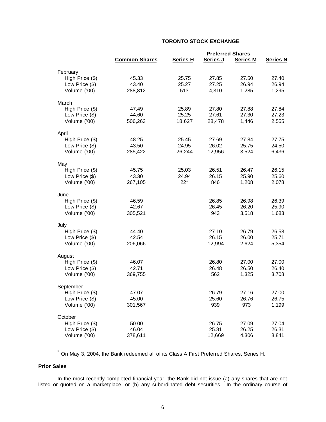# **TORONTO STOCK EXCHANGE**

|                 |                      | <b>Preferred Shares</b> |          |                 |                 |
|-----------------|----------------------|-------------------------|----------|-----------------|-----------------|
|                 | <b>Common Shares</b> | <b>Series H</b>         | Series J | <b>Series M</b> | <b>Series N</b> |
| February        |                      |                         |          |                 |                 |
| High Price (\$) | 45.33                | 25.75                   | 27.85    | 27.50           | 27.40           |
| Low Price (\$)  | 43.40                | 25.27                   | 27.25    | 26.94           | 26.94           |
| Volume ('00)    | 288,812              | 513                     | 4,310    | 1,285           | 1,295           |
| March           |                      |                         |          |                 |                 |
| High Price (\$) | 47.49                | 25.89                   | 27.80    | 27.88           | 27.84           |
| Low Price (\$)  | 44.60                | 25.25                   | 27.61    | 27.30           | 27.23           |
| Volume ('00)    | 506,263              | 18,627                  | 28,478   | 1,446           | 2,555           |
| April           |                      |                         |          |                 |                 |
| High Price (\$) | 48.25                | 25.45                   | 27.69    | 27.84           | 27.75           |
| Low Price (\$)  | 43.50                | 24.95                   | 26.02    | 25.75           | 24.50           |
| Volume ('00)    | 285,422              | 26,244                  | 12,956   | 3,524           | 6,436           |
| May             |                      |                         |          |                 |                 |
| High Price (\$) | 45.75                | 25.03                   | 26.51    | 26.47           | 26.15           |
| Low Price (\$)  | 43.30                | 24.94                   | 26.15    | 25.90           | 25.60           |
| Volume ('00)    | 267,105              | $22*$                   | 846      | 1,208           | 2,078           |
| June            |                      |                         |          |                 |                 |
| High Price (\$) | 46.59                |                         | 26.85    | 26.98           | 26.39           |
| Low Price (\$)  | 42.67                |                         | 26.45    | 26.20           | 25.90           |
| Volume ('00)    | 305,521              |                         | 943      | 3,518           | 1,683           |
| July            |                      |                         |          |                 |                 |
| High Price (\$) | 44.40                |                         | 27.10    | 26.79           | 26.58           |
| Low Price (\$)  | 42.54                |                         | 26.15    | 26.00           | 25.71           |
| Volume ('00)    | 206,066              |                         | 12,994   | 2,624           | 5,354           |
| August          |                      |                         |          |                 |                 |
| High Price (\$) | 46.07                |                         | 26.80    | 27.00           | 27.00           |
| Low Price (\$)  | 42.71                |                         | 26.48    | 26.50           | 26.40           |
| Volume ('00)    | 369,755              |                         | 562      | 1,325           | 3,708           |
| September       |                      |                         |          |                 |                 |
| High Price (\$) | 47.07                |                         | 26.79    | 27.16           | 27.00           |
| Low Price (\$)  | 45.00                |                         | 25.60    | 26.76           | 26.75           |
| Volume ('00)    | 301,567              |                         | 939      | 973             | 1,199           |
| October         |                      |                         |          |                 |                 |
| High Price (\$) | 50.00                |                         | 26.75    | 27.09           | 27.04           |
| Low Price (\$)  | 46.04                |                         | 25.81    | 26.25           | 26.31           |
| Volume ('00)    | 378,611              |                         | 12,669   | 4,306           | 8,841           |

\* On May 3, 2004, the Bank redeemed all of its Class A First Preferred Shares, Series H.

## **Prior Sales**

In the most recently completed financial year, the Bank did not issue (a) any shares that are not listed or quoted on a marketplace, or (b) any subordinated debt securities. In the ordinary course of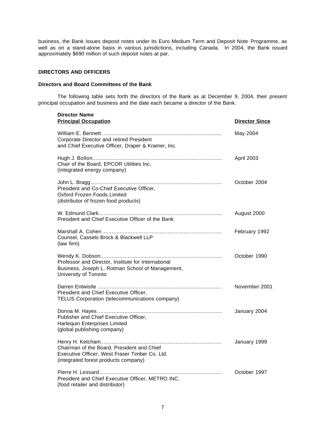business, the Bank issues deposit notes under its Euro Medium Term and Deposit Note Programme, as well as on a stand-alone basis in various jurisdictions, including Canada. In 2004, the Bank issued approximately \$690 million of such deposit notes at par.

### **DIRECTORS AND OFFICERS**

#### **Directors and Board Committees of the Bank**

The following table sets forth the directors of the Bank as at December 9, 2004, their present principal occupation and business and the date each became a director of the Bank.

| <b>Director Name</b><br><b>Principal Occupation</b>                                                                                  | <b>Director Since</b> |
|--------------------------------------------------------------------------------------------------------------------------------------|-----------------------|
| Corporate Director and retired President<br>and Chief Executive Officer, Draper & Kramer, Inc.                                       | May 2004              |
| Chair of the Board, EPCOR Utilities Inc.<br>(integrated energy company)                                                              | April 2003            |
| President and Co-Chief Executive Officer,<br>Oxford Frozen Foods Limited<br>(distributor of frozen food products)                    | October 2004          |
| President and Chief Executive Officer of the Bank                                                                                    | August 2000           |
| Counsel, Cassels Brock & Blackwell LLP<br>(law firm)                                                                                 | February 1992         |
| Professor and Director, Institute for International<br>Business, Joseph L. Rotman School of Management,<br>University of Toronto     | October 1990          |
| President and Chief Executive Officer,<br>TELUS Corporation (telecommunications company)                                             | November 2001         |
| Publisher and Chief Executive Officer,<br><b>Harlequin Enterprises Limited</b><br>(global publishing company)                        | January 2004          |
| Chairman of the Board, President and Chief<br>Executive Officer, West Fraser Timber Co. Ltd.<br>(integrated forest products company) | January 1999          |
| President and Chief Executive Officer, METRO INC.<br>(food retailer and distributor)                                                 | October 1997          |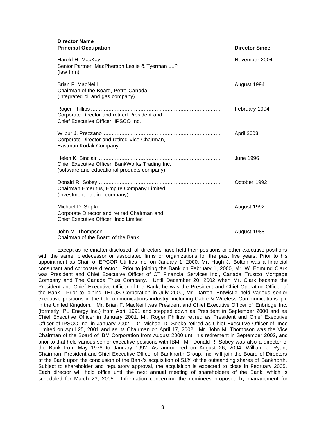#### **Director Name Principal Occupation Director Since**

|                                                                                                | טטווט וטוטטווט   |
|------------------------------------------------------------------------------------------------|------------------|
| Senior Partner, MacPherson Leslie & Tyerman LLP<br>(law firm)                                  | November 2004    |
| Chairman of the Board, Petro-Canada<br>(integrated oil and gas company)                        | August 1994      |
| Corporate Director and retired President and<br>Chief Executive Officer, IPSCO Inc.            | February 1994    |
| Corporate Director and retired Vice Chairman,<br>Eastman Kodak Company                         | April 2003       |
| Chief Executive Officer, BankWorks Trading Inc.<br>(software and educational products company) | <b>June 1996</b> |
| Chairman Emeritus, Empire Company Limited<br>(investment holding company)                      | October 1992     |
| Corporate Director and retired Chairman and<br>Chief Executive Officer, Inco Limited           | August 1992      |
| Chairman of the Board of the Bank                                                              | August 1988      |

Except as hereinafter disclosed, all directors have held their positions or other executive positions with the same, predecessor or associated firms or organizations for the past five years. Prior to his appointment as Chair of EPCOR Utilities Inc. on January 1, 2000, Mr. Hugh J. Bolton was a financial consultant and corporate director. Prior to joining the Bank on February 1, 2000, Mr. W. Edmund Clark was President and Chief Executive Officer of CT Financial Services Inc., Canada Trustco Mortgage Company and The Canada Trust Company. Until December 20, 2002 when Mr. Clark became the President and Chief Executive Officer of the Bank, he was the President and Chief Operating Officer of the Bank. Prior to joining TELUS Corporation in July 2000, Mr. Darren Entwistle held various senior executive positions in the telecommunications industry, including Cable & Wireless Communications plc in the United Kingdom. Mr. Brian F. MacNeill was President and Chief Executive Officer of Enbridge Inc. (formerly IPL Energy Inc.) from April 1991 and stepped down as President in September 2000 and as Chief Executive Officer in January 2001. Mr. Roger Phillips retired as President and Chief Executive Officer of IPSCO Inc. in January 2002. Dr. Michael D. Sopko retired as Chief Executive Officer of Inco Limited on April 25, 2001 and as its Chairman on April 17, 2002. Mr. John M. Thompson was the Vice Chairman of the Board of IBM Corporation from August 2000 until his retirement in September 2002, and prior to that held various senior executive positions with IBM. Mr. Donald R. Sobey was also a director of the Bank from May 1978 to January 1992. As announced on August 26, 2004, William J. Ryan, Chairman, President and Chief Executive Officer of Banknorth Group, Inc. will join the Board of Directors of the Bank upon the conclusion of the Bank's acquisition of 51% of the outstanding shares of Banknorth. Subject to shareholder and regulatory approval, the acquisition is expected to close in February 2005. Each director will hold office until the next annual meeting of shareholders of the Bank, which is scheduled for March 23, 2005. Information concerning the nominees proposed by management for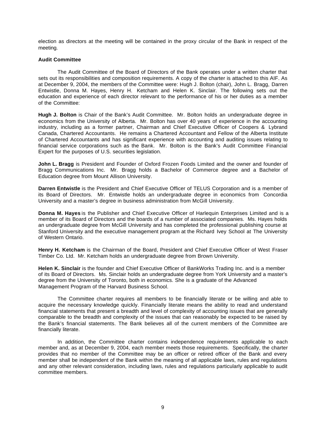election as directors at the meeting will be contained in the proxy circular of the Bank in respect of the meeting.

#### **Audit Committee**

The Audit Committee of the Board of Directors of the Bank operates under a written charter that sets out its responsibilities and composition requirements. A copy of the charter is attached to this AIF. As at December 9, 2004, the members of the Committee were: Hugh J. Bolton (chair), John L. Bragg, Darren Entwistle, Donna M. Hayes, Henry H. Ketcham and Helen K. Sinclair. The following sets out the education and experience of each director relevant to the performance of his or her duties as a member of the Committee:

**Hugh J. Bolton** is Chair of the Bank's Audit Committee. Mr. Bolton holds an undergraduate degree in economics from the University of Alberta. Mr. Bolton has over 40 years of experience in the accounting industry, including as a former partner, Chairman and Chief Executive Officer of Coopers & Lybrand Canada, Chartered Accountants. He remains a Chartered Accountant and Fellow of the Alberta Institute of Chartered Accountants and has significant experience with accounting and auditing issues relating to financial service corporations such as the Bank. Mr. Bolton is the Bank's Audit Committee Financial Expert for the purposes of U.S. securities legislation.

**John L. Bragg** is President and Founder of Oxford Frozen Foods Limited and the owner and founder of Bragg Communications Inc. Mr. Bragg holds a Bachelor of Commerce degree and a Bachelor of Education degree from Mount Allison University.

**Darren Entwistle** is the President and Chief Executive Officer of TELUS Corporation and is a member of its Board of Directors. Mr. Entwistle holds an undergraduate degree in economics from Concordia University and a master's degree in business administration from McGill University.

**Donna M. Hayes** is the Publisher and Chief Executive Officer of Harlequin Enterprises Limited and is a member of its Board of Directors and the boards of a number of associated companies. Ms. Hayes holds an undergraduate degree from McGill University and has completed the professional publishing course at Stanford University and the executive management program at the Richard Ivey School at The University of Western Ontario.

**Henry H. Ketcham** is the Chairman of the Board, President and Chief Executive Officer of West Fraser Timber Co. Ltd. Mr. Ketcham holds an undergraduate degree from Brown University.

**Helen K. Sinclair** is the founder and Chief Executive Officer of BankWorks Trading Inc. and is a member of its Board of Directors. Ms. Sinclair holds an undergraduate degree from York University and a master's degree from the University of Toronto, both in economics. She is a graduate of the Advanced Management Program of the Harvard Business School.

The Committee charter requires all members to be financially literate or be willing and able to acquire the necessary knowledge quickly. Financially literate means the ability to read and understand financial statements that present a breadth and level of complexity of accounting issues that are generally comparable to the breadth and complexity of the issues that can reasonably be expected to be raised by the Bank's financial statements. The Bank believes all of the current members of the Committee are financially literate.

In addition, the Committee charter contains independence requirements applicable to each member and, as at December 9, 2004, each member meets those requirements. Specifically, the charter provides that no member of the Committee may be an officer or retired officer of the Bank and every member shall be independent of the Bank within the meaning of all applicable laws, rules and regulations and any other relevant consideration, including laws, rules and regulations particularly applicable to audit committee members.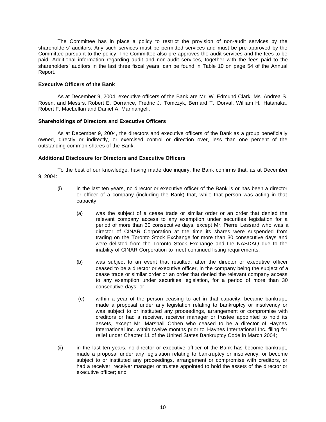The Committee has in place a policy to restrict the provision of non-audit services by the shareholders' auditors. Any such services must be permitted services and must be pre-approved by the Committee pursuant to the policy. The Committee also pre-approves the audit services and the fees to be paid. Additional information regarding audit and non-audit services, together with the fees paid to the shareholders' auditors in the last three fiscal years, can be found in Table 10 on page 54 of the Annual Report.

#### **Executive Officers of the Bank**

As at December 9, 2004, executive officers of the Bank are Mr. W. Edmund Clark, Ms. Andrea S. Rosen, and Messrs. Robert E. Dorrance, Fredric J. Tomczyk, Bernard T. Dorval, William H. Hatanaka, Robert F. MacLellan and Daniel A. Marinangeli.

#### **Shareholdings of Directors and Executive Officers**

As at December 9, 2004, the directors and executive officers of the Bank as a group beneficially owned, directly or indirectly, or exercised control or direction over, less than one percent of the outstanding common shares of the Bank.

## **Additional Disclosure for Directors and Executive Officers**

To the best of our knowledge, having made due inquiry, the Bank confirms that, as at December 9, 2004:

- (i) in the last ten years, no director or executive officer of the Bank is or has been a director or officer of a company (including the Bank) that, while that person was acting in that capacity:
	- (a) was the subject of a cease trade or similar order or an order that denied the relevant company access to any exemption under securities legislation for a period of more than 30 consecutive days, except Mr. Pierre Lessard who was a director of CINAR Corporation at the time its shares were suspended from trading on the Toronto Stock Exchange for more than 30 consecutive days and were delisted from the Toronto Stock Exchange and the NASDAQ due to the inability of CINAR Corporation to meet continued listing requirements;
	- (b) was subject to an event that resulted, after the director or executive officer ceased to be a director or executive officer, in the company being the subject of a cease trade or similar order or an order that denied the relevant company access to any exemption under securities legislation, for a period of more than 30 consecutive days; or
	- (c) within a year of the person ceasing to act in that capacity, became bankrupt, made a proposal under any legislation relating to bankruptcy or insolvency or was subject to or instituted any proceedings, arrangement or compromise with creditors or had a receiver, receiver manager or trustee appointed to hold its assets, except Mr. Marshall Cohen who ceased to be a director of Haynes International Inc. within twelve months prior to Haynes International Inc. filing for relief under Chapter 11 of the United States Bankruptcy Code in March 2004;
- (ii) in the last ten years, no director or executive officer of the Bank has become bankrupt, made a proposal under any legislation relating to bankruptcy or insolvency, or become subject to or instituted any proceedings, arrangement or compromise with creditors, or had a receiver, receiver manager or trustee appointed to hold the assets of the director or executive officer; and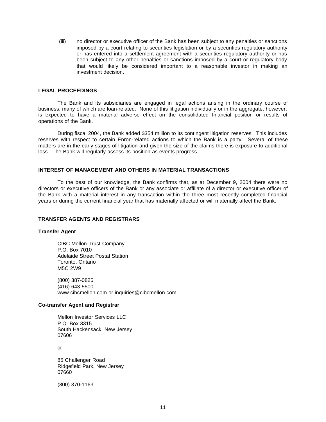(iii) no director or executive officer of the Bank has been subject to any penalties or sanctions imposed by a court relating to securities legislation or by a securities regulatory authority or has entered into a settlement agreement with a securities regulatory authority or has been subject to any other penalties or sanctions imposed by a court or regulatory body that would likely be considered important to a reasonable investor in making an investment decision.

#### **LEGAL PROCEEDINGS**

The Bank and its subsidiaries are engaged in legal actions arising in the ordinary course of business, many of which are loan-related. None of this litigation individually or in the aggregate, however, is expected to have a material adverse effect on the consolidated financial position or results of operations of the Bank.

During fiscal 2004, the Bank added \$354 million to its contingent litigation reserves. This includes reserves with respect to certain Enron-related actions to which the Bank is a party. Several of these matters are in the early stages of litigation and given the size of the claims there is exposure to additional loss. The Bank will regularly assess its position as events progress.

## **INTEREST OF MANAGEMENT AND OTHERS IN MATERIAL TRANSACTIONS**

To the best of our knowledge, the Bank confirms that, as at December 9, 2004 there were no directors or executive officers of the Bank or any associate or affiliate of a director or executive officer of the Bank with a material interest in any transaction within the three most recently completed financial years or during the current financial year that has materially affected or will materially affect the Bank.

#### **TRANSFER AGENTS AND REGISTRARS**

#### **Transfer Agent**

CIBC Mellon Trust Company P.O. Box 7010 Adelaide Street Postal Station Toronto, Ontario M5C 2W9

(800) 387-0825 (416) 643-5500 www.cibcmellon.com or inquiries@cibcmellon.com

#### **Co-transfer Agent and Registrar**

Mellon Investor Services LLC P.O. Box 3315 South Hackensack, New Jersey 07606

or

85 Challenger Road Ridgefield Park, New Jersey 07660

(800) 370-1163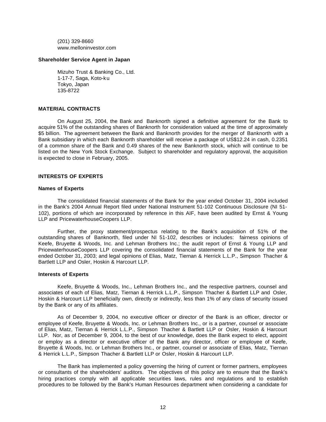(201) 329-8660 www.melloninvestor.com

#### **Shareholder Service Agent in Japan**

Mizuho Trust & Banking Co., Ltd. 1-17-7, Saga, Koto-ku Tokyo, Japan 135-8722

#### **MATERIAL CONTRACTS**

On August 25, 2004, the Bank and Banknorth signed a definitive agreement for the Bank to acquire 51% of the outstanding shares of Banknorth for consideration valued at the time of approximately \$5 billion. The agreement between the Bank and Banknorth provides for the merger of Banknorth with a Bank subsidiary in which each Banknorth shareholder will receive a package of US\$12.24 in cash, 0.2351 of a common share of the Bank and 0.49 shares of the new Banknorth stock, which will continue to be listed on the New York Stock Exchange. Subject to shareholder and regulatory approval, the acquisition is expected to close in February, 2005.

## **INTERESTS OF EXPERTS**

#### **Names of Experts**

The consolidated financial statements of the Bank for the year ended October 31, 2004 included in the Bank's 2004 Annual Report filed under National Instrument 51-102 Continuous Disclosure (NI 51- 102), portions of which are incorporated by reference in this AIF, have been audited by Ernst & Young LLP and PricewaterhouseCoopers LLP.

Further, the proxy statement/prospectus relating to the Bank's acquisition of 51% of the outstanding shares of Banknorth, filed under NI 51-102, describes or includes: fairness opinions of Keefe, Bruyette & Woods, Inc. and Lehman Brothers Inc.; the audit report of Ernst & Young LLP and PricewaterhouseCoopers LLP covering the consolidated financial statements of the Bank for the year ended October 31, 2003; and legal opinions of Elias, Matz, Tiernan & Herrick L.L.P., Simpson Thacher & Bartlett LLP and Osler, Hoskin & Harcourt LLP.

#### **Interests of Experts**

Keefe, Bruyette & Woods, Inc., Lehman Brothers Inc., and the respective partners, counsel and associates of each of Elias, Matz, Tiernan & Herrick L.L.P., Simpson Thacher & Bartlett LLP and Osler, Hoskin & Harcourt LLP beneficially own, directly or indirectly, less than 1% of any class of security issued by the Bank or any of its affiliates.

As of December 9, 2004, no executive officer or director of the Bank is an officer, director or employee of Keefe, Bruyette & Woods, Inc. or Lehman Brothers Inc., or is a partner, counsel or associate of Elias, Matz, Tiernan & Herrick L.L.P., Simpson Thacher & Bartlett LLP or Osler, Hoskin & Harcourt LLP. Nor, as of December 9, 2004, to the best of our knowledge, does the Bank expect to elect, appoint or employ as a director or executive officer of the Bank any director, officer or employee of Keefe, Bruyette & Woods, Inc. or Lehman Brothers Inc., or partner, counsel or associate of Elias, Matz, Tiernan & Herrick L.L.P., Simpson Thacher & Bartlett LLP or Osler, Hoskin & Harcourt LLP.

The Bank has implemented a policy governing the hiring of current or former partners, employees or consultants of the shareholders' auditors. The objectives of this policy are to ensure that the Bank's hiring practices comply with all applicable securities laws, rules and regulations and to establish procedures to be followed by the Bank's Human Resources department when considering a candidate for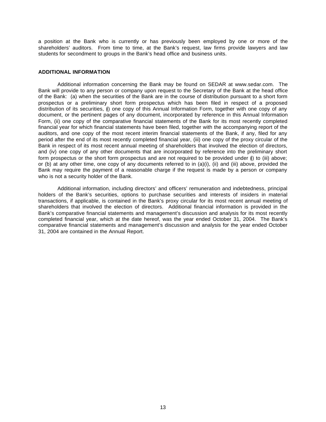a position at the Bank who is currently or has previously been employed by one or more of the shareholders' auditors. From time to time, at the Bank's request, law firms provide lawyers and law students for secondment to groups in the Bank's head office and business units.

#### **ADDITIONAL INFORMATION**

Additional information concerning the Bank may be found on SEDAR at www.sedar.com. The Bank will provide to any person or company upon request to the Secretary of the Bank at the head office of the Bank: (a) when the securities of the Bank are in the course of distribution pursuant to a short form prospectus or a preliminary short form prospectus which has been filed in respect of a proposed distribution of its securities, (i) one copy of this Annual Information Form, together with one copy of any document, or the pertinent pages of any document, incorporated by reference in this Annual Information Form, (ii) one copy of the comparative financial statements of the Bank for its most recently completed financial year for which financial statements have been filed, together with the accompanying report of the auditors, and one copy of the most recent interim financial statements of the Bank, if any, filed for any period after the end of its most recently completed financial year, (iii) one copy of the proxy circular of the Bank in respect of its most recent annual meeting of shareholders that involved the election of directors, and (iv) one copy of any other documents that are incorporated by reference into the preliminary short form prospectus or the short form prospectus and are not required to be provided under (i) to (iii) above; or (b) at any other time, one copy of any documents referred to in (a)(i), (ii) and (iii) above, provided the Bank may require the payment of a reasonable charge if the request is made by a person or company who is not a security holder of the Bank.

Additional information, including directors' and officers' remuneration and indebtedness, principal holders of the Bank's securities, options to purchase securities and interests of insiders in material transactions, if applicable, is contained in the Bank's proxy circular for its most recent annual meeting of shareholders that involved the election of directors. Additional financial information is provided in the Bank's comparative financial statements and management's discussion and analysis for its most recently completed financial year, which at the date hereof, was the year ended October 31, 2004. The Bank's comparative financial statements and management's discussion and analysis for the year ended October 31, 2004 are contained in the Annual Report.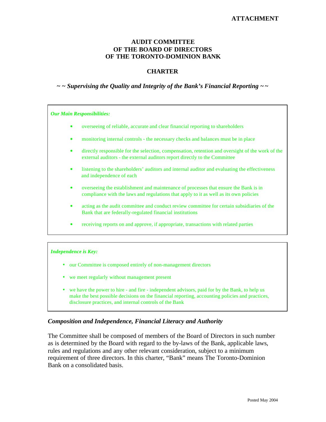## **ATTACHMENT**

# **AUDIT COMMITTEE OF THE BOARD OF DIRECTORS OF THE TORONTO-DOMINION BANK**

# **CHARTER**

# *~ ~ Supervising the Quality and Integrity of the Bank's Financial Reporting ~ ~*

*Our Main Responsibilities:*

- ä overseeing of reliable, accurate and clear financial reporting to shareholders
- ä monitoring internal controls the necessary checks and balances must be in place
- ä directly responsible for the selection, compensation, retention and oversight of the work of the external auditors - the external auditors report directly to the Committee
- ä listening to the shareholders' auditors and internal auditor and evaluating the effectiveness and independence of each
- ä overseeing the establishment and maintenance of processes that ensure the Bank is in compliance with the laws and regulations that apply to it as well as its own policies
- ä acting as the audit committee and conduct review committee for certain subsidiaries of the Bank that are federally-regulated financial institutions
- ä receiving reports on and approve, if appropriate, transactions with related parties

## *Independence is Key:*

- our Committee is composed entirely of non-management directors
- we meet regularly without management present
- we have the power to hire and fire independent advisors, paid for by the Bank, to help us make the best possible decisions on the financial reporting, accounting policies and practices, disclosure practices, and internal controls of the Bank

## *Composition and Independence, Financial Literacy and Authority*

The Committee shall be composed of members of the Board of Directors in such number as is determined by the Board with regard to the by-laws of the Bank, applicable laws, rules and regulations and any other relevant consideration, subject to a minimum requirement of three directors. In this charter, "Bank" means The Toronto-Dominion Bank on a consolidated basis.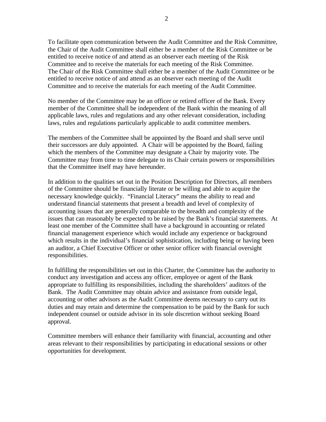To facilitate open communication between the Audit Committee and the Risk Committee, the Chair of the Audit Committee shall either be a member of the Risk Committee or be entitled to receive notice of and attend as an observer each meeting of the Risk Committee and to receive the materials for each meeting of the Risk Committee. The Chair of the Risk Committee shall either be a member of the Audit Committee or be entitled to receive notice of and attend as an observer each meeting of the Audit Committee and to receive the materials for each meeting of the Audit Committee.

No member of the Committee may be an officer or retired officer of the Bank. Every member of the Committee shall be independent of the Bank within the meaning of all applicable laws, rules and regulations and any other relevant consideration, including laws, rules and regulations particularly applicable to audit committee members.

The members of the Committee shall be appointed by the Board and shall serve until their successors are duly appointed. A Chair will be appointed by the Board, failing which the members of the Committee may designate a Chair by majority vote. The Committee may from time to time delegate to its Chair certain powers or responsibilities that the Committee itself may have hereunder.

In addition to the qualities set out in the Position Description for Directors, all members of the Committee should be financially literate or be willing and able to acquire the necessary knowledge quickly. "Financial Literacy" means the ability to read and understand financial statements that present a breadth and level of complexity of accounting issues that are generally comparable to the breadth and complexity of the issues that can reasonably be expected to be raised by the Bank's financial statements. At least one member of the Committee shall have a background in accounting or related financial management experience which would include any experience or background which results in the individual's financial sophistication, including being or having been an auditor, a Chief Executive Officer or other senior officer with financial oversight responsibilities.

In fulfilling the responsibilities set out in this Charter, the Committee has the authority to conduct any investigation and access any officer, employee or agent of the Bank appropriate to fulfilling its responsibilities, including the shareholders' auditors of the Bank. The Audit Committee may obtain advice and assistance from outside legal, accounting or other advisors as the Audit Committee deems necessary to carry out its duties and may retain and determine the compensation to be paid by the Bank for such independent counsel or outside advisor in its sole discretion without seeking Board approval.

Committee members will enhance their familiarity with financial, accounting and other areas relevant to their responsibilities by participating in educational sessions or other opportunities for development.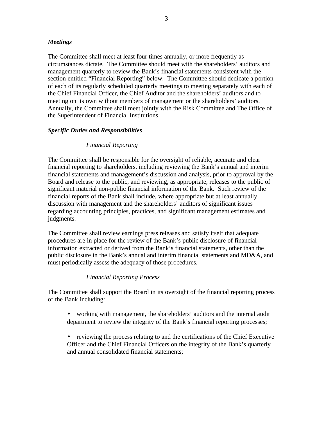# *Meetings*

The Committee shall meet at least four times annually, or more frequently as circumstances dictate. The Committee should meet with the shareholders' auditors and management quarterly to review the Bank's financial statements consistent with the section entitled "Financial Reporting" below. The Committee should dedicate a portion of each of its regularly scheduled quarterly meetings to meeting separately with each of the Chief Financial Officer, the Chief Auditor and the shareholders' auditors and to meeting on its own without members of management or the shareholders' auditors. Annually, the Committee shall meet jointly with the Risk Committee and The Office of the Superintendent of Financial Institutions.

# *Specific Duties and Responsibilities*

# *Financial Reporting*

The Committee shall be responsible for the oversight of reliable, accurate and clear financial reporting to shareholders, including reviewing the Bank's annual and interim financial statements and management's discussion and analysis, prior to approval by the Board and release to the public, and reviewing, as appropriate, releases to the public of significant material non-public financial information of the Bank. Such review of the financial reports of the Bank shall include, where appropriate but at least annually discussion with management and the shareholders' auditors of significant issues regarding accounting principles, practices, and significant management estimates and judgments.

The Committee shall review earnings press releases and satisfy itself that adequate procedures are in place for the review of the Bank's public disclosure of financial information extracted or derived from the Bank's financial statements, other than the public disclosure in the Bank's annual and interim financial statements and MD&A, and must periodically assess the adequacy of those procedures.

## *Financial Reporting Process*

The Committee shall support the Board in its oversight of the financial reporting process of the Bank including:

- working with management, the shareholders' auditors and the internal audit department to review the integrity of the Bank's financial reporting processes;
- reviewing the process relating to and the certifications of the Chief Executive Officer and the Chief Financial Officers on the integrity of the Bank's quarterly and annual consolidated financial statements;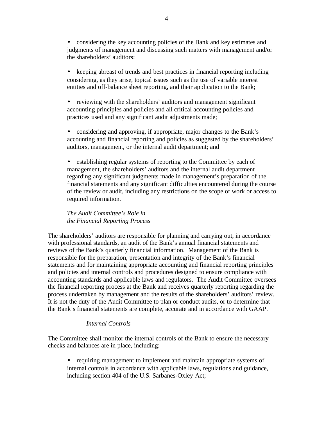• considering the key accounting policies of the Bank and key estimates and judgments of management and discussing such matters with management and/or the shareholders' auditors;

• keeping abreast of trends and best practices in financial reporting including considering, as they arise, topical issues such as the use of variable interest entities and off-balance sheet reporting, and their application to the Bank;

• reviewing with the shareholders' auditors and management significant accounting principles and policies and all critical accounting policies and practices used and any significant audit adjustments made;

• considering and approving, if appropriate, major changes to the Bank's accounting and financial reporting and policies as suggested by the shareholders' auditors, management, or the internal audit department; and

• establishing regular systems of reporting to the Committee by each of management, the shareholders' auditors and the internal audit department regarding any significant judgments made in management's preparation of the financial statements and any significant difficulties encountered during the course of the review or audit, including any restrictions on the scope of work or access to required information.

*The Audit Committee's Role in the Financial Reporting Process*

The shareholders' auditors are responsible for planning and carrying out, in accordance with professional standards, an audit of the Bank's annual financial statements and reviews of the Bank's quarterly financial information. Management of the Bank is responsible for the preparation, presentation and integrity of the Bank's financial statements and for maintaining appropriate accounting and financial reporting principles and policies and internal controls and procedures designed to ensure compliance with accounting standards and applicable laws and regulators. The Audit Committee oversees the financial reporting process at the Bank and receives quarterly reporting regarding the process undertaken by management and the results of the shareholders' auditors' review. It is not the duty of the Audit Committee to plan or conduct audits, or to determine that the Bank's financial statements are complete, accurate and in accordance with GAAP.

# *Internal Controls*

The Committee shall monitor the internal controls of the Bank to ensure the necessary checks and balances are in place, including:

• requiring management to implement and maintain appropriate systems of internal controls in accordance with applicable laws, regulations and guidance, including section 404 of the U.S. Sarbanes-Oxley Act;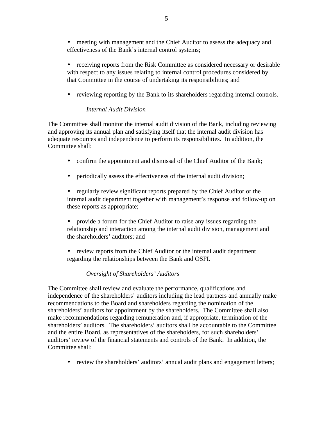• meeting with management and the Chief Auditor to assess the adequacy and effectiveness of the Bank's internal control systems;

• receiving reports from the Risk Committee as considered necessary or desirable with respect to any issues relating to internal control procedures considered by that Committee in the course of undertaking its responsibilities; and

• reviewing reporting by the Bank to its shareholders regarding internal controls.

# *Internal Audit Division*

The Committee shall monitor the internal audit division of the Bank, including reviewing and approving its annual plan and satisfying itself that the internal audit division has adequate resources and independence to perform its responsibilities. In addition, the Committee shall:

- confirm the appointment and dismissal of the Chief Auditor of the Bank;
- periodically assess the effectiveness of the internal audit division;

• regularly review significant reports prepared by the Chief Auditor or the internal audit department together with management's response and follow-up on these reports as appropriate;

- provide a forum for the Chief Auditor to raise any issues regarding the relationship and interaction among the internal audit division, management and the shareholders' auditors; and
- review reports from the Chief Auditor or the internal audit department regarding the relationships between the Bank and OSFI.

# *Oversight of Shareholders' Auditors*

The Committee shall review and evaluate the performance, qualifications and independence of the shareholders' auditors including the lead partners and annually make recommendations to the Board and shareholders regarding the nomination of the shareholders' auditors for appointment by the shareholders. The Committee shall also make recommendations regarding remuneration and, if appropriate, termination of the shareholders' auditors. The shareholders' auditors shall be accountable to the Committee and the entire Board, as representatives of the shareholders, for such shareholders' auditors' review of the financial statements and controls of the Bank. In addition, the Committee shall:

• review the shareholders' auditors' annual audit plans and engagement letters;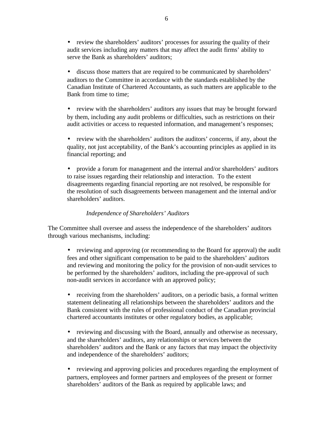• review the shareholders' auditors' processes for assuring the quality of their audit services including any matters that may affect the audit firms' ability to serve the Bank as shareholders' auditors;

• discuss those matters that are required to be communicated by shareholders' auditors to the Committee in accordance with the standards established by the Canadian Institute of Chartered Accountants, as such matters are applicable to the Bank from time to time;

• review with the shareholders' auditors any issues that may be brought forward by them, including any audit problems or difficulties, such as restrictions on their audit activities or access to requested information, and management's responses;

• review with the shareholders' auditors the auditors' concerns, if any, about the quality, not just acceptability, of the Bank's accounting principles as applied in its financial reporting; and

• provide a forum for management and the internal and/or shareholders' auditors to raise issues regarding their relationship and interaction. To the extent disagreements regarding financial reporting are not resolved, be responsible for the resolution of such disagreements between management and the internal and/or shareholders' auditors.

# *Independence of Shareholders' Auditors*

The Committee shall oversee and assess the independence of the shareholders' auditors through various mechanisms, including:

• reviewing and approving (or recommending to the Board for approval) the audit fees and other significant compensation to be paid to the shareholders' auditors and reviewing and monitoring the policy for the provision of non-audit services to be performed by the shareholders' auditors, including the pre-approval of such non-audit services in accordance with an approved policy;

• receiving from the shareholders' auditors, on a periodic basis, a formal written statement delineating all relationships between the shareholders' auditors and the Bank consistent with the rules of professional conduct of the Canadian provincial chartered accountants institutes or other regulatory bodies, as applicable;

• reviewing and discussing with the Board, annually and otherwise as necessary, and the shareholders' auditors, any relationships or services between the shareholders' auditors and the Bank or any factors that may impact the objectivity and independence of the shareholders' auditors;

• reviewing and approving policies and procedures regarding the employment of partners, employees and former partners and employees of the present or former shareholders' auditors of the Bank as required by applicable laws; and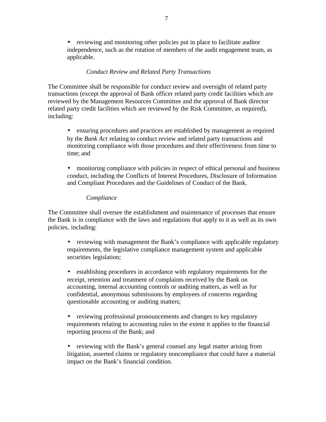• reviewing and monitoring other policies put in place to facilitate auditor independence, such as the rotation of members of the audit engagement team, as applicable.

# *Conduct Review and Related Party Transactions*

The Committee shall be responsible for conduct review and oversight of related party transactions (except the approval of Bank officer related party credit facilities which are reviewed by the Management Resources Committee and the approval of Bank director related party credit facilities which are reviewed by the Risk Committee, as required), including:

• ensuring procedures and practices are established by management as required by the *Bank Act* relating to conduct review and related party transactions and monitoring compliance with those procedures and their effectiveness from time to time; and

• monitoring compliance with policies in respect of ethical personal and business conduct, including the Conflicts of Interest Procedures, Disclosure of Information and Compliant Procedures and the Guidelines of Conduct of the Bank.

# *Compliance*

The Committee shall oversee the establishment and maintenance of processes that ensure the Bank is in compliance with the laws and regulations that apply to it as well as its own policies, including:

• reviewing with management the Bank's compliance with applicable regulatory requirements, the legislative compliance management system and applicable securities legislation;

• establishing procedures in accordance with regulatory requirements for the receipt, retention and treatment of complaints received by the Bank on accounting, internal accounting controls or auditing matters, as well as for confidential, anonymous submissions by employees of concerns regarding questionable accounting or auditing matters;

• reviewing professional pronouncements and changes to key regulatory requirements relating to accounting rules to the extent it applies to the financial reporting process of the Bank; and

• reviewing with the Bank's general counsel any legal matter arising from litigation, asserted claims or regulatory noncompliance that could have a material impact on the Bank's financial condition.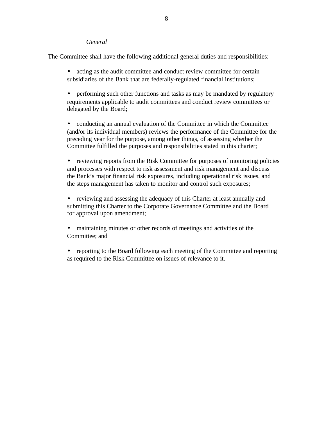## *General*

The Committee shall have the following additional general duties and responsibilities:

- acting as the audit committee and conduct review committee for certain subsidiaries of the Bank that are federally-regulated financial institutions;
- performing such other functions and tasks as may be mandated by regulatory requirements applicable to audit committees and conduct review committees or delegated by the Board;
- conducting an annual evaluation of the Committee in which the Committee (and/or its individual members) reviews the performance of the Committee for the preceding year for the purpose, among other things, of assessing whether the Committee fulfilled the purposes and responsibilities stated in this charter;
- reviewing reports from the Risk Committee for purposes of monitoring policies and processes with respect to risk assessment and risk management and discuss the Bank's major financial risk exposures, including operational risk issues, and the steps management has taken to monitor and control such exposures;
- reviewing and assessing the adequacy of this Charter at least annually and submitting this Charter to the Corporate Governance Committee and the Board for approval upon amendment;
- maintaining minutes or other records of meetings and activities of the Committee; and
- reporting to the Board following each meeting of the Committee and reporting as required to the Risk Committee on issues of relevance to it.